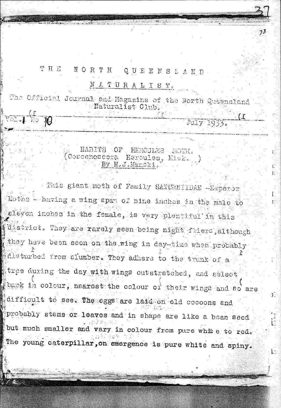## THE. NORTH QUEENSLAND

 $95 - 10$ 

## NATURALIST.

 $73$ 

1.

July 1933.

The Official Journal and Magazine of the North Quasnsland Naturalist Club.

> HABITS OF HERCJLES MOTH (Coscenoscera Heroules, Misk. By M.J.Manski.

This giant meth of Family SATURNIIDAE -Emperor Moths - having a wing span of nine inches in the main to eleven inches in the female, is very plentiful in this district. They are rarely seen being night fliers, although they have been seen on the wing in day-time when probably disturbed from slumber. They adhere to the trunk of a tree during the day with wings outstretched, and select bark in colour, nearest the colour of their wings and so are difficult to see. The eggs are lard on old cocoons and probably stems or leaves and in shape are like a boan seed but much smaller and vary in colour from pure white to red. The young caterpillar, on emergence is pure white and spiny.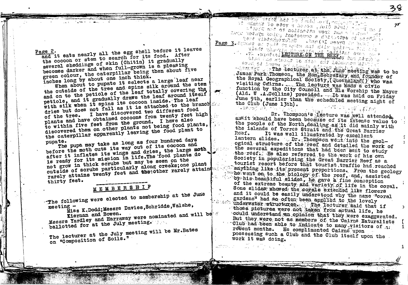Page 2.

and it eats nearly all the egg shell before it leaves the cocoon or stem to search for its food. After several sheddings of skin (Chitin) it gradually becomes darker and when full-grown is a pleasing green colour, the caterpillar being then about five inches long by about one inch think. When about to pupate it selects a large leaf near

the outside of the tree and spins silk around the stem and on to the petiole of the leaf totally covering the petiole, and it gradually draws the leaf around itself with silk when it spins its cocoon inside. The leaf dries but does not fall as it is attached to the branch com-I have discovered two different food plants and have obtained cocoons from twenty feet high to within five feet from the ground. I have also discovered them on other plants not being food plants, the caterpillar apparently leaving the food plant to

The pupa may take as long as four hundred days pupate.

before the moth cuts its way out of its cocoon and after it inflates its wings and dries, the large moth is ready for its mission in life. The food plants do not grow in thick scrubs but may be seen on the outside of scrubs particularly along creeks; one plant rarely attains twenty feet and the other rarely attains

thirty feet.

## MEMBERSHIP

The following were elected to membership at the June

Miss K.Dodd; Messrs Davies, Schridde, Walshe, meeting  $-$ 

Messrs Yardley and Harraway were nominated and will be ballotted for at the July meeting.

The lecturer at the July meeting will be Mr. Bates on "Composition of Soils."

L'issert mit of notdnetta vout bas his stude by lagy motata smich factoceno a dallatto of highla tout flereinfrolkt ( , handet merk volken Page J.Halland on the Cole of Louis and Hally guidence that is

ternative on a community of the people of automobile and the state of the people of the state of the state of what at hove it in the line of the June meeting was to be James Park Thomson, the Hon, Secretary and founder of the Royal Geographical Sociéty, (Queensland ) who was visiting Cairns. The lecture was made a civic function by the City Council and His Worship the Mayor (Ald. W.A.Collins) presided. Tt was held on Friday June 9th, earlier than the scheduled meeting night of the Club (June 13th). **CONSTRUCTION**  $\sim$   $\mathbb{Z}$  ,  $\mathbb{Z}$  , for

nson- veröl ade an Fachi med encour

of annual to ever a heron , fuld stall when me s

 $75$ 

 $\sim$ Dr. Thompson's *lecture* was well attended, assit should have been because of its intense value to the people of the North, dealing as it did mainly with the islands of Torres Strait and the Great Barrier Reef. It was well illustrated by excellent lantern slides. Dr. Thompson went into the geological structure of the reef and detailed the work of the several expeditions that had been sent to study the reef. He also referred to the work of his own Society in popularising the Great Barrier Reef as a tourist resort before that tourist traffic had reached anything like its present proportions. From the geology he went on to the piology of the reef, and, assisted by his beautiful slides, he gave a fine conception of the extreme beauty and variety of life in the coral. Some slides showed the corels extended like flowers and it could be easily understood why the name "coral gardens" had so often been applied to the lovely underwater structures. The lecturer said that if those pictures were not taken from actual life, he could understand an opinion that they were exaggerated. But they were not as members of the Cairns Naturalists "Club had been able to indicate to many visitors of 1: recent months. He complimented Cairns upon possessing such a Club and the Club itself upon the work it was doing.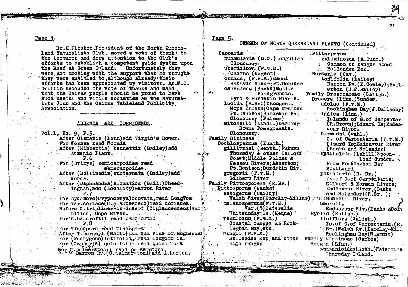Page 4.

Dr.H.Flecker, President of the North Queensland Naturalists Club, moved a vote of thanks to the lecturer and drew attention to the Club's efforts to establish a competent guide system upon the Reef at Green Island. Unfortunately they were not meeting with the support that he thought they were entitled to, although already their efforts had been appreciated by visitors. Mr.W.C. Griffin seconded the vote of thanks and said. that the Cairns people should be proud to have such useful and virile societies as the Naturalists Club and the Cairns Tableland Publicity Association.

## ADDENDA AND CORRIGENDA.

 $V$ ol.1, No. 9, P.5.

After Clematis (Linn)add Virgin's Bower. For Wormea read Wormia After (Hibbertia) bennettii (Bailey) add Arsenic Plant.

 $P.6$ For (Drimys) semicarpoides read semecarpoides.

After (Mollinedia) subternata (Bailey) add Wonda.

After (Daphnandra) aromatica (Bail.) Cheedingnan, add (Locality) Barron River  $P.7^\circ$ 

For sycamore(Crypocarya) obovata, read LongTom For var.coriace(C.glaucescens) read coriacea. Before C.triplinervis insert (C.glaucescens) var nitida, Cape River. For C.bancroftii read bancrofti.  $P.8$ 그는 그는 일 없는 것 같다

For Tinespora read Tinospora After T. berneyi (Bail.) add Yam Vine of Hughender For (Pachygone)latifolia. read longifolia. For (Capparis) quinifolia read quiniflora Fried palmerstonii read palmerstoni;<br>Ritel Barron Rv. (C.palmerstoni add Atherton.

Page 5.

CENSUS OF NORTH QUEENSLAND PLANTS (Continued)

Capparis nummularia (D.C.)Longullah Cloncurry uberiflora (F.v.M.) Cairns (Nugent) ornans, (F.v.M.) Manni Batavia River: Pt. Denison canescens (Banks) Native Pomegranate. Lynd & Burdekin Rivers. lucida (R.Br.)Thoogeer. Hope Islets; Cape Grafton Pt.Denison; Burdekin Rv; Cloncurry (Palmer) mitchelli (Lindl.)Darling Downs Pomegranate. Cloncurry. **Family Bixineae** Cochlospermum (Kunth.) gillivraei (Benth.) Pukuru Thursday & other Isl.off Coast:Middle Palmer & Nassau Rivers; Atherton; Pt. Denison; Burdekin Riv. gregorii  $(F.v.M.)$ Gilbert River Family Pittosporeee (R.Br.) Pittosporum (Banks) setigerum (Bailey) Walsh River(Barclay-Millar) :: Russell River.  $melano$  spermum $(F_v, v, M_v)$  $Var.(?)$  lateral is  $\texttt{Whtsunday:Is.}$  (Henne)  $v$ enulosum  $(r.v.M.)$ Coastal ranges as Rockingham Bay, etc.  $wingi (F.v.M.)$ Bellenden Ker and other Family Elatineae (Cambes) high ranges

Pittosporum rubiginosum (A.Cunn.) Common on ranges about . Bellenden Ker. Bursaria (Cav.) tenifolia (Bailey) Barron Rv. (E. Cowley): Herberton  $(J.F.Ba11ey)$ Family Droseraceae (Salisb.) Drosera (Linn.) Sundew. adelae  $(F, v, M.)$ Rockingham Bay(J.Dallachy) indica (Linn.) Islands of G.of Carpentari (R.Brown): Lizard Is; Endea-**VOUT River.** burmanni (vahl.) G. of Carpentaria (F.v.M.) Lizard Is: Endeavour River (Banks and Solander) spathulata (Labill)Spoonleaf Sundew. From Rockingham Bay Southward petiolaris (R. Br.) Is.of G.of Carpentaria: Gilbert & Norman Rivers: **Endeavour River, (Banks** and Solander)(R.Br. ); banksii. Endeavour Riv. (Banks &Sol) Byblis (Salisb.) liniflora (Salisb.) Is. of G. of Carpentaria. (R. Br.) Walsh Rv. (Barclay-Mill Rockingham Bay(W.Armit) Bergia (Linn.) ammannioides(Roth.)Waterfire Material Phursday Island.

77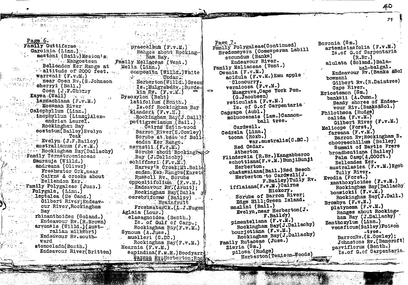40

79

 $\label{eq:2.1} \mathcal{N}_{\rm eff}^{\rm SM} = \left\{ \mathcal{N}_{\rm eff} = \mathcal{N}_{\rm eff} \right\}$ Page 6. Family Guttiferae Garcinia (Linn.) mestoni (Bail.) Meston's . Mangosteen Bellenden Ker Range at  $\cdot$  altitude of 2000 feet. Warrenii (F.v.M.) near Coen Rv. (S.Johnson cherryi (Bail.) Coen (J.F.Cherry Kayea (Wall) Martin Martin larnachiana (F.v.M.) Mossman River Calophyllum (Linn.) inophyllum (Linng)Alexandrian Laurel. Rockingham Bav  $\texttt{costatum}(\texttt{Bailey})$  Evelyn Teak  $Evelyn (J.F.Bailev)$ australianum (F.v.M.) **Fookingham Bay(Dallachy)** Family Ternstroemiaceae Saurauja (Willd.) andreana (Oliver) Freshwater Crk, near Cairns & creeks about Bellenden Ker. Family Polygaleac (Juss.). Polygala, (Linn.) leptalea (De Cand.) Gilbert River; Endeavour River, Rockingham Bay rhinanthoides (Soland.) Endeavour Rv. (R. Brown) arvonsis (Willd.) (Australian milkwort) Endeavour Rv. southward stenoclada(Benth.) Endeavour River(Britten)

(Vrato) TV

 $\mathcal{L}_{\text{max}}$ 

de vir absent no consett

praecelsum (F.v.M.) Ranges about Rocking ham Bay. Family Meliaceae (Vent.) Melia (Linn.) composita (Willd.) White grave Codar. Herberton(Willd.)Green Is.; MulgraweRv.; Burde- $\sim$  $kin(Rv. (F.v.M.)$ Dysoxylon (Beht) latifolium (Benth.) Is. off Rockingham Bay klanderi (F.v.M.) Rockingham Bay(J.Dall) pettigrewianum (Bail.) . Calrns Satin-wood Barron River(E.Cowley) Scrubs at base of Bell4 enden Ker Range. nernstil  $(F, \dot{v}, M)$ Scrubs about Rockingh Bay (J.Dallachy)  $\texttt{schiffneri}$  (F.v.M.) Harvey's Creek: Mt. Bell. enden Ker, Ranges (Karste Russell Rv. Scrubs Oppositifolium (F.v.M.) Endeavour Ry. (Armit); Rockingham Bay (Dalla cerebriforme (Bailey) Brainfruit FreshwaterCk.(L.J.Nugen Aglaia (Lour.) elaeagnoidea (Benth,) Is. of Gulf of Carp.: Rockingham Bay(F.v.M.) Synoum (A.Juss.) muelleri (C.DC.) Rockingham Bay( $F_v v_s M_s$ ) Hearnia  $(F_v, W_s)$ sapindina(F.K.M.)Boodyarri. Parten Ry, Herberton; Roc)

轻度 医抗心病

Liste Dates Land

Page 7. Family Polygaleae(Continued) Bredemeyera (Comesperma Labill secundum (Banks) Endeavour River. Family Meliaceae (Vent.) Owenia  $(F.\forall.\mathbb{M})$ acidula (F.v.M.) Emu apple Cloncurry. vernicosa (F.v.M.) Musgrave, Cape York Pen.  $(G, \tilde{J}$ acobsen) reticulata (F.v.M.) Is. of G.of Carpentaria Caprapa (Aubl.) moluccensis (Lam.) Cannonball tree. Cardwell. Cedrela (Linn.) toona (Roxb.)  $\tau$ ar.australis(C.DC.) Red Cedar. Atherton Flindersia (R.Br.) Kangabberoo schottiana(F.v.M.)BunjiBunji Herberton. chatawaiana(Bail.) Red Beech Herberton to Cardwell(J. F.Bailey)Tully Rv. ifflaiana(F.v.M.)Cairns Hickory. Sorubs of Barron River; Edge Hill; Green Island. mazlini (Bail.) Evelyn, near Herberton(J. F.Bailey) pimenteliana (F.v.M.) Rockingham Bay(J.Dallachy) bourjotiana (F.v.M.) Rockingham Bay(J.Dallachy) Family Rutaceae (Juss.) Zieria (Sm.) pilosa (Rudge) Herberton (Tenison-Woods)

Boronia (Sm.) artemisiaefolia (F.v.M.) Is.of G.of Carpentaria  $(R.Br.)$ alulata (Soland.) Balabal-balgal. Endeavour Rv. (Banks &Sol howmani Gilbert Rv. (R.Daintree) Cape River. Eriostemon (Sm.) banksii (A.Cunn.) Sandy shores of Endeavour Riv. (Banks&Sol.) Philotheca (Rudge) calida  $(F.v.M.)$ Gilbert River (F.v.M.) Melicope (Forst.) fareana (F.v.M.) Barron Rv; Rockingham B. chooreechillum (Bailey) Summit of Bartle Frere broadbentiana (Bailey) Palm Camp $(4,000$ ft.) Bellenden Ker. australasica (F.v.M.)Ngob Tully River. Evodia (Forst.) xanthoxyloides (F.v.M.) Rockingham Bay (Dallachy) bonwickil  $(F.v.M.)$ Rockingham Bay(J.Dall.) Brombya (F.v.M.) platynema (F.v.M.) Ranges about Rockingham Bay (J.Dallachy) Zanthoxylum (Linn.) veneficum(Bailey)Poison -tree. BarronRv. (E.Cowley): Johnstone Rv. (Bancroft) parviflorum (Benth.) Is.of G.of Carpentaria.